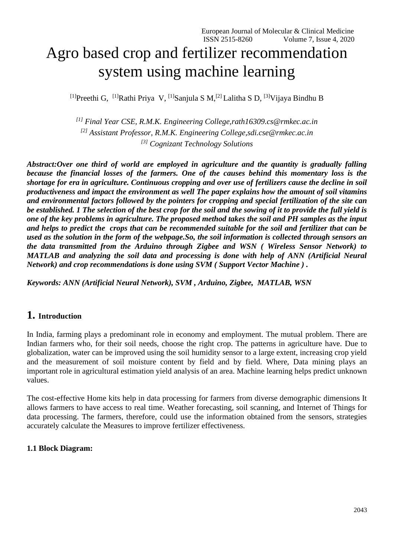# Agro based crop and fertilizer recommendation system using machine learning

<sup>[1]</sup>Preethi G, <sup>[1]</sup>Rathi Priya V, <sup>[1]</sup>Sanjula S M,<sup>[2]</sup> Lalitha S D, <sup>[3]</sup>Vijaya Bindhu B

*[1] Final Year CSE, R.M.K. Engineering College[,rath16309.cs@rmkec.ac.in](mailto:rath16309.cs@rmkec.ac.in) [2] Assistant Professor, R.M.K. Engineering College[,sdi.cse@rmkec.ac.in](mailto:sdi.cse@rmkec.ac.in) [3] Cognizant Technology Solutions*

*Abstract:Over one third of world are employed in agriculture and the quantity is gradually falling because the financial losses of the farmers. One of the causes behind this momentary loss is the shortage for era in agriculture. Continuous cropping and over use of fertilizers cause the decline in soil productiveness and impact the environment as well The paper explains how the amount of soil vitamins and environmental factors followed by the pointers for cropping and special fertilization of the site can be established. 1 The selection of the best crop for the soil and the sowing of it to provide the full yield is one of the key problems in agriculture. The proposed method takes the soil and PH samples as the input and helps to predict the crops that can be recommended suitable for the soil and fertilizer that can be used as the solution in the form of the webpage.So, the soil information is collected through sensors an the data transmitted from the Arduino through Zigbee and WSN ( Wireless Sensor Network) to MATLAB and analyzing the soil data and processing is done with help of ANN (Artificial Neural Network) and crop recommendations is done using SVM ( Support Vector Machine ) .*

*Keywords: ANN (Artificial Neural Network), SVM , Arduino, Zigbee, MATLAB, WSN* 

# **1. Introduction**

In India, farming plays a predominant role in economy and employment. The mutual problem. There are Indian farmers who, for their soil needs, choose the right crop. The patterns in agriculture have. Due to globalization, water can be improved using the soil humidity sensor to a large extent, increasing crop yield and the measurement of soil moisture content by field and by field. Where, Data mining plays an important role in agricultural estimation yield analysis of an area. Machine learning helps predict unknown values.

The cost-effective Home kits help in data processing for farmers from diverse demographic dimensions It allows farmers to have access to real time. Weather forecasting, soil scanning, and Internet of Things for data processing. The farmers, therefore, could use the information obtained from the sensors, strategies accurately calculate the Measures to improve fertilizer effectiveness.

#### **1.1 Block Diagram:**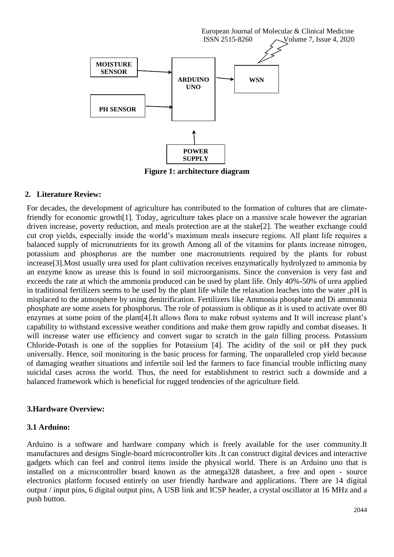

**Figure 1: architecture diagram**

#### **2. Literature Review:**

For decades, the development of agriculture has contributed to the formation of cultures that are climatefriendly for economic growth[1]. Today, agriculture takes place on a massive scale however the agrarian driven increase, poverty reduction, and meals protection are at the stake[2]. The weather exchange could cut crop yields, especially inside the world's maximum meals insecure regions. All plant life requires a balanced supply of micronutrients for its growth Among all of the vitamins for plants increase nitrogen, potassium and phosphorus are the number one macronutrients required by the plants for robust increase[3].Most usually urea used for plant cultivation receives enzymatically hydrolyzed to ammonia by an enzyme know as urease this is found in soil microorganisms. Since the conversion is very fast and exceeds the rate at which the ammonia produced can be used by plant life. Only 40%-50% of urea applied in traditional fertilizers seems to be used by the plant life while the relaxation leaches into the water ,pH is misplaced to the atmosphere by using denitrification. Fertilizers like Ammonia phosphate and Di ammonia phosphate are some assets for phosphorus. The role of potassium is oblique as it is used to activate over 80 enzymes at some point of the plant[4].It allows flora to make robust systems and It will increase plant's capability to withstand excessive weather conditions and make them grow rapidly and combat diseases. It will increase water use efficiency and convert sugar to scratch in the gain filling process. Potassium Chloride-Potash is one of the supplies for Potassium [4]. The acidity of the soil or pH they puck universally. Hence, soil monitoring is the basic process for farming. The unparalleled crop yield because of damaging weather situations and infertile soil led the farmers to face financial trouble inflicting many suicidal cases across the world. Thus, the need for establishment to restrict such a downside and a balanced framework which is beneficial for rugged tendencies of the agriculture field.

#### **3.Hardware Overview:**

#### **3.1 Arduino:**

Arduino is a software and hardware company which is freely available for the user community.It manufactures and designs Single-board microcontroller kits .It can construct digital devices and interactive gadgets which can feel and control items inside the physical world. There is an Arduino uno that is installed on a microcontroller board known as the atmega328 datasheet, a free and open - source electronics platform focused entirely on user friendly hardware and applications. There are 14 digital output / input pins, 6 digital output pins, A USB link and ICSP header, a crystal oscillator at 16 MHz and a push button.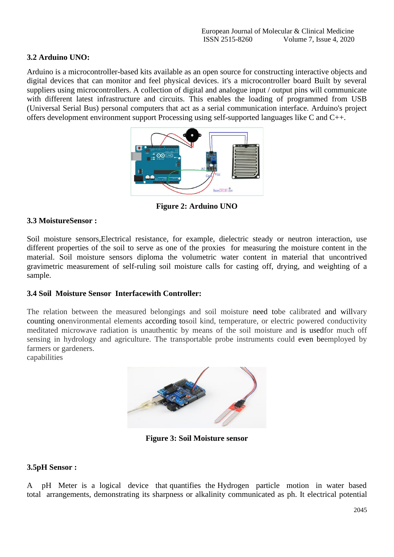# **3.2 Arduino UNO:**

Arduino is a microcontroller-based kits available as an open source for constructing interactive objects and digital devices that can monitor and feel physical devices. it's a microcontroller board Built by several suppliers using microcontrollers. A collection of digital and analogue input / output pins will communicate with different latest infrastructure and circuits. This enables the loading of programmed from USB (Universal Serial Bus) personal computers that act as a serial communication interface. Arduino's project offers development environment support Processing using self-supported languages like C and C++.



**Figure 2: Arduino UNO**

# **3.3 MoistureSensor :**

Soil moisture sensors,Electrical resistance, for example, dielectric steady or neutron interaction, use different properties of the soil to serve as one of the proxies for measuring the moisture content in the material. Soil moisture sensors diploma the volumetric water content in material that uncontrived gravimetric measurement of self-ruling soil moisture calls for casting off, drying, and weighting of a sample.

#### **3.4 Soil Moisture Sensor Interfacewith Controller:**

The relation between the measured belongings and soil moisture need tobe calibrated and willvary counting onenvironmental elements according tosoil kind, temperature, or electric powered conductivity meditated microwave radiation is unauthentic by means of the soil moisture and is usedfor much off sensing in hydrology and agriculture. The transportable probe instruments could even beemployed by farmers or gardeners.

capabilities



**Figure 3: Soil Moisture sensor**

# **3.5pH Sensor :**

A pH Meter is a logical device that quantifies the Hydrogen particle motion in water based total arrangements, demonstrating its sharpness or alkalinity communicated as ph. It electrical potential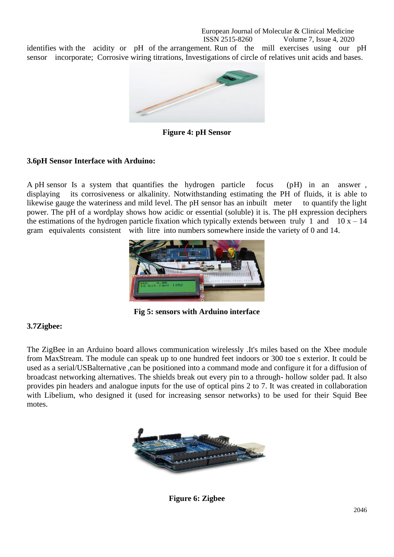identifies with the acidity or pH of the arrangement. Run of the mill exercises using our pH sensor incorporate; Corrosive wiring titrations, Investigations of circle of relatives unit acids and bases.



**Figure 4: pH Sensor**

# **3.6pH Sensor Interface with Arduino:**

A pH sensor Is a system that quantifies the hydrogen particle focus (pH) in an answer , displaying its corrosiveness or alkalinity. Notwithstanding estimating the PH of fluids, it is able to likewise gauge the wateriness and mild level. The pH sensor has an inbuilt meter to quantify the light power. The pH of a wordplay shows how acidic or essential (soluble) it is. The pH expression deciphers the estimations of the hydrogen particle fixation which typically extends between truly 1 and  $10 x - 14$ gram equivalents consistent with litre into numbers somewhere inside the variety of 0 and 14.



**Fig 5: sensors with Arduino interface**

#### **3.7Zigbee:**

The ZigBee in an Arduino board allows communication wirelessly .It's miles based on the Xbee module from MaxStream. The module can speak up to one hundred feet indoors or 300 toe s exterior. It could be used as a serial/USBalternative ,can be positioned into a command mode and configure it for a diffusion of broadcast networking alternatives. The shields break out every pin to a through- hollow solder pad. It also provides pin headers and analogue inputs for the use of optical pins 2 to 7. It was created in collaboration with Libelium, who designed it (used for increasing sensor networks) to be used for their Squid Bee motes.



**Figure 6: Zigbee**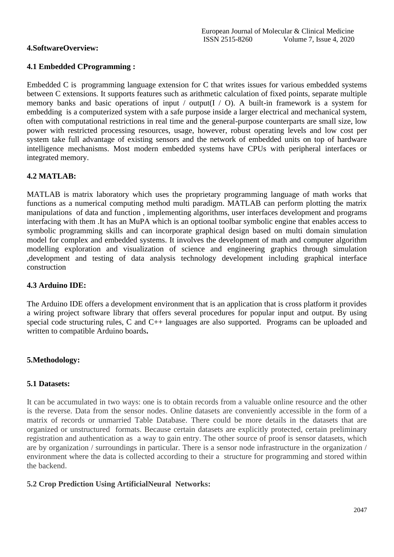# **4.SoftwareOverview:**

# **4.1 Embedded CProgramming :**

Embedded C is programming language extension for C that writes issues for various embedded systems between C extensions. It supports features such as arithmetic calculation of fixed points, separate multiple memory banks and basic operations of input / output  $(I / 0)$ . A built-in framework is a system for embedding is a computerized system with a safe purpose inside a larger electrical and mechanical system, often with computational restrictions in real time and the general-purpose counterparts are small size, low power with restricted processing resources, usage, however, robust operating levels and low cost per system take full advantage of existing sensors and the network of embedded units on top of hardware intelligence mechanisms. Most modern embedded systems have CPUs with peripheral interfaces or integrated memory.

# **4.2 MATLAB:**

MATLAB is matrix laboratory which uses the proprietary programming language of math works that functions as a numerical computing method multi paradigm. MATLAB can perform plotting the matrix manipulations of data and function , implementing algorithms, user interfaces development and programs interfacing with them .It has an MuPA which is an optional toolbar symbolic engine that enables access to symbolic programming skills and can incorporate graphical design based on multi domain simulation model for complex and embedded systems. It involves the development of math and computer algorithm modelling exploration and visualization of science and engineering graphics through simulation ,development and testing of data analysis technology development including graphical interface construction

# **4.3 Arduino IDE:**

The Arduino IDE offers a development environment that is an application that is cross platform it provides a wiring project software library that offers several procedures for popular input and output. By using special code structuring rules, C and C++ languages are also supported. Programs can be uploaded and written to compatible Arduino boards**.**

# **5.Methodology:**

# **5.1 Datasets:**

It can be accumulated in two ways: one is to obtain records from a valuable online resource and the other is the reverse. Data from the sensor nodes. Online datasets are conveniently accessible in the form of a matrix of records or unmarried Table Database. There could be more details in the datasets that are organized or unstructured formats. Because certain datasets are explicitly protected, certain preliminary registration and authentication as a way to gain entry. The other source of proof is sensor datasets, which are by organization / surroundings in particular. There is a sensor node infrastructure in the organization / environment where the data is collected according to their a structure for programming and stored within the backend.

# **5.2 Crop Prediction Using ArtificialNeural Networks:**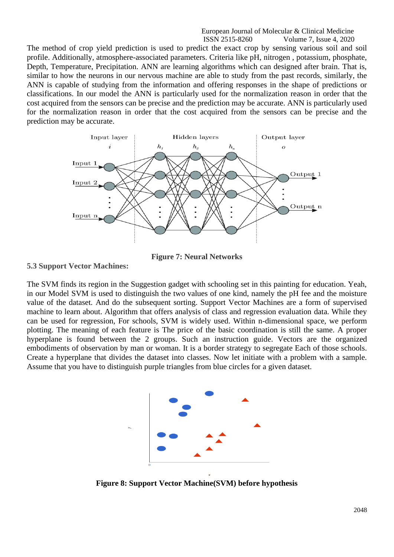The method of crop yield prediction is used to predict the exact crop by sensing various soil and soil profile. Additionally, atmosphere-associated parameters. Criteria like pH, nitrogen , potassium, phosphate, Depth, Temperature, Precipitation. ANN are learning algorithms which can designed after brain. That is, similar to how the neurons in our nervous machine are able to study from the past records, similarly, the ANN is capable of studying from the information and offering responses in the shape of predictions or classifications. In our model the ANN is particularly used for the normalization reason in order that the cost acquired from the sensors can be precise and the prediction may be accurate. ANN is particularly used for the normalization reason in order that the cost acquired from the sensors can be precise and the prediction may be accurate.



**Figure 7: Neural Networks**

**5.3 Support Vector Machines:**

The SVM finds its region in the Suggestion gadget with schooling set in this painting for education. Yeah, in our Model SVM is used to distinguish the two values of one kind, namely the pH fee and the moisture value of the dataset. And do the subsequent sorting. Support Vector Machines are a form of supervised machine to learn about. Algorithm that offers analysis of class and regression evaluation data. While they can be used for regression, For schools, SVM is widely used. Within n-dimensional space, we perform plotting. The meaning of each feature is The price of the basic coordination is still the same. A proper hyperplane is found between the 2 groups. Such an instruction guide. Vectors are the organized embodiments of observation by man or woman. It is a border strategy to segregate Each of those schools. Create a hyperplane that divides the dataset into classes. Now let initiate with a problem with a sample. Assume that you have to distinguish purple triangles from blue circles for a given dataset.



**Figure 8: Support Vector Machine(SVM) before hypothesis**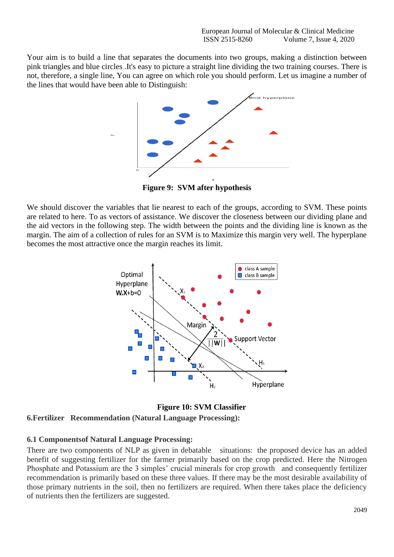Your aim is to build a line that separates the documents into two groups, making a distinction between pink triangles and blue circles .It's easy to picture a straight line dividing the two training courses. There is not, therefore, a single line, You can agree on which role you should perform. Let us imagine a number of the lines that would have been able to Distinguish:



**Figure 9: SVM after hypothesis**

We should discover the variables that lie nearest to each of the groups, according to SVM. These points are related to here. To as vectors of assistance. We discover the closeness between our dividing plane and the aid vectors in the following step. The width between the points and the dividing line is known as the margin. The aim of a collection of rules for an SVM is to Maximize this margin very well. The hyperplane becomes the most attractive once the margin reaches its limit.



**Figure 10: SVM Classifier 6.Fertilizer Recommendation (Natural Language Processing):**

#### **6.1 Componentsof Natural Language Processing:**

There are two components of NLP as given in debatable situations: the proposed device has an added benefit of suggesting fertilizer for the farmer primarily based on the crop predicted. Here the Nitrogen Phosphate and Potassium are the 3 simples' crucial minerals for crop growth and consequently fertilizer recommendation is primarily based on these three values. If there may be the most desirable availability of those primary nutrients in the soil, then no fertilizers are required. When there takes place the deficiency of nutrients then the fertilizers are suggested.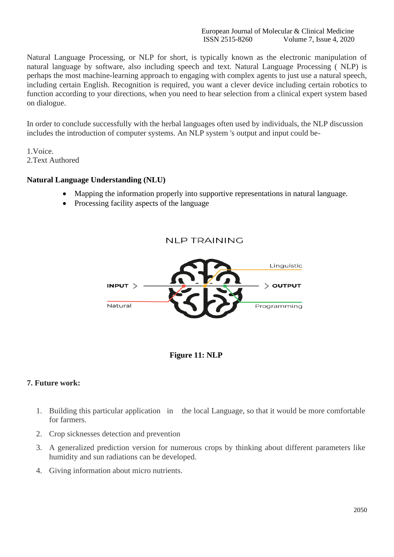Natural Language Processing, or NLP for short, is typically known as the electronic manipulation of natural language by software, also including speech and text. Natural Language Processing ( NLP) is perhaps the most machine-learning approach to engaging with complex agents to just use a natural speech, including certain English. Recognition is required, you want a clever device including certain robotics to function according to your directions, when you need to hear selection from a clinical expert system based on dialogue.

In order to conclude successfully with the herbal languages often used by individuals, the NLP discussion includes the introduction of computer systems. An NLP system 's output and input could be-

1.Voice. 2.Text Authored

# **Natural Language Understanding (NLU)**

- Mapping the information properly into supportive representations in natural language.
- Processing facility aspects of the language





#### **7. Future work:**

- 1. Building this particular application in the local Language, so that it would be more comfortable for farmers.
- 2. Crop sicknesses detection and prevention
- 3. A generalized prediction version for numerous crops by thinking about different parameters like humidity and sun radiations can be developed.
- 4. Giving information about micro nutrients.